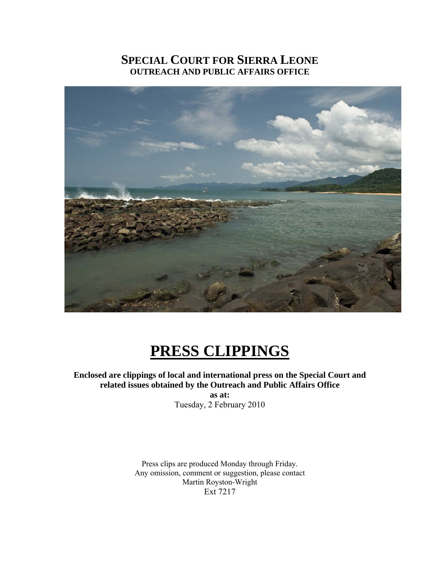# **SPECIAL COURT FOR SIERRA LEONE OUTREACH AND PUBLIC AFFAIRS OFFICE**



# **PRESS CLIPPINGS**

**Enclosed are clippings of local and international press on the Special Court and related issues obtained by the Outreach and Public Affairs Office** 

**as at:**  Tuesday, 2 February 2010

Press clips are produced Monday through Friday. Any omission, comment or suggestion, please contact Martin Royston-Wright Ext 7217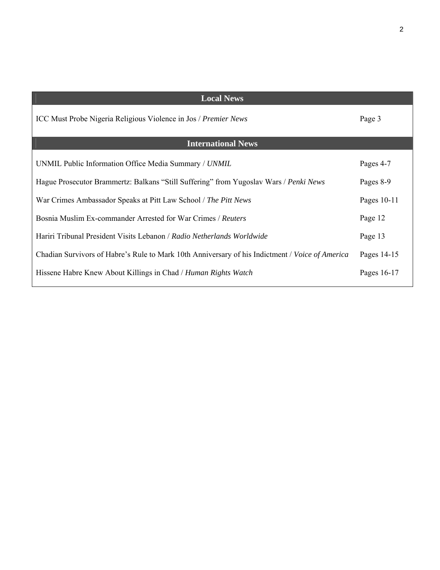| <b>Local News</b>                                                                               |               |
|-------------------------------------------------------------------------------------------------|---------------|
| ICC Must Probe Nigeria Religious Violence in Jos / Premier News                                 | Page 3        |
| <b>International News</b>                                                                       |               |
|                                                                                                 |               |
| UNMIL Public Information Office Media Summary / UNMIL                                           | Pages 4-7     |
| Hague Prosecutor Brammertz: Balkans "Still Suffering" from Yugoslav Wars / Penki News           | Pages 8-9     |
|                                                                                                 |               |
| War Crimes Ambassador Speaks at Pitt Law School / The Pitt News                                 | Pages $10-11$ |
| Bosnia Muslim Ex-commander Arrested for War Crimes / Reuters                                    | Page 12       |
|                                                                                                 |               |
| Hariri Tribunal President Visits Lebanon / Radio Netherlands Worldwide                          | Page 13       |
|                                                                                                 |               |
| Chadian Survivors of Habre's Rule to Mark 10th Anniversary of his Indictment / Voice of America | Pages 14-15   |
| Hissene Habre Knew About Killings in Chad / Human Rights Watch                                  | Pages 16-17   |
|                                                                                                 |               |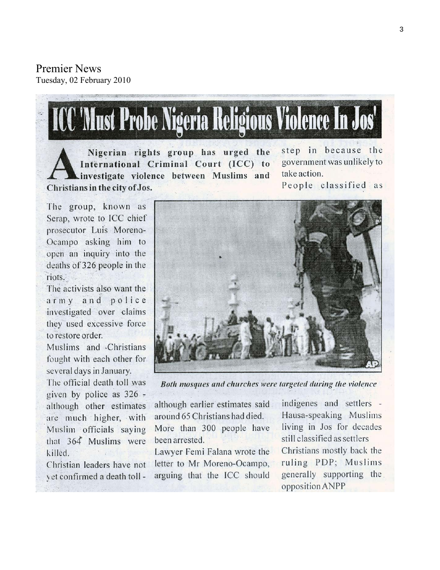Premier News Tuesday, 02 February 2010

# **ICC 'Must Probe Nigeria Religious Violence In Jos'**

Nigerian rights group has urged the International Criminal Court (ICC) to investigate violence between Muslims and Christians in the city of Jos.

step in because the government was unlikely to take action.

People classified as

The group, known as Serap, wrote to ICC chief prosecutor Luis Moreno-Ocampo asking him to open an inquiry into the deaths of 326 people in the riots.

The activists also want the army and police investigated over claims they used excessive force to restore order.

Muslims and Christians fought with each other for. several days in January.

The official death toll was given by police as  $326$ . although other estimates are much higher, with Muslim officials saying that 364 Muslims were killed.

Christian leaders have not vet confirmed a death toll -



Both mosques and churches were targeted during the violence

although earlier estimates said around 65 Christians had died. More than 300 people have been arrested.

Lawyer Femi Falana wrote the letter to Mr Moreno-Ocampo, arguing that the ICC should

indigenes and settlers -Hausa-speaking Muslims living in Jos for decades still classified as settlers Christians mostly back the ruling PDP; Muslims generally supporting the opposition ANPP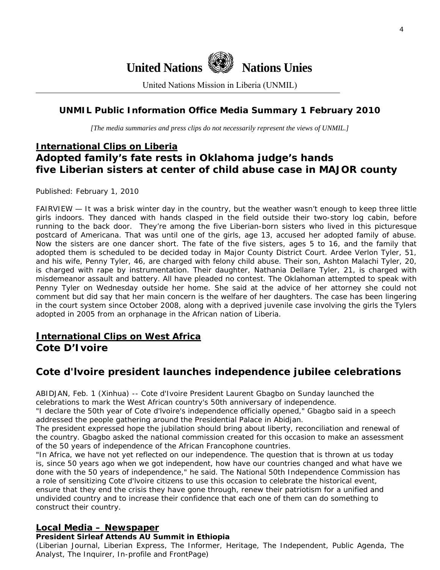

United Nations Mission in Liberia (UNMIL)

# **UNMIL Public Information Office Media Summary 1 February 2010**

*[The media summaries and press clips do not necessarily represent the views of UNMIL.]* 

# **International Clips on Liberia Adopted family's fate rests in Oklahoma judge's hands five Liberian sisters at center of child abuse case in MAJOR county**

Published: February 1, 2010

FAIRVIEW — It was a brisk winter day in the country, but the weather wasn't enough to keep three little girls indoors. They danced with hands clasped in the field outside their two-story log cabin, before running to the back door. They're among the five Liberian-born sisters who lived in this picturesque postcard of Americana. That was until one of the girls, age 13, accused her adopted family of abuse. Now the sisters are one dancer short. The fate of the five sisters, ages 5 to 16, and the family that adopted them is scheduled to be decided today in Major County District Court. Ardee Verlon Tyler, 51, and his wife, Penny Tyler, 46, are charged with felony child abuse. Their son, Ashton Malachi Tyler, 20, is charged with rape by instrumentation. Their daughter, Nathania Dellare Tyler, 21, is charged with misdemeanor assault and battery. All have pleaded no contest. The Oklahoman attempted to speak with Penny Tyler on Wednesday outside her home. She said at the advice of her attorney she could not comment but did say that her main concern is the welfare of her daughters. The case has been lingering in the court system since October 2008, along with a deprived juvenile case involving the girls the Tylers adopted in 2005 from an orphanage in the African nation of Liberia.

# **International Clips on West Africa Cote D'Ivoire**

# **Cote d'lvoire president launches independence jubilee celebrations**

ABIDJAN, Feb. 1 (Xinhua) -- Cote d'Ivoire President Laurent Gbagbo on Sunday launched the celebrations to mark the West African country's 50th anniversary of independence.

"I declare the 50th year of Cote d'lvoire's independence officially opened," Gbagbo said in a speech addressed the people gathering around the Presidential Palace in Abidjan.

The president expressed hope the jubilation should bring about liberty, reconciliation and renewal of the country. Gbagbo asked the national commission created for this occasion to make an assessment of the 50 years of independence of the African Francophone countries.

"In Africa, we have not yet reflected on our independence. The question that is thrown at us today is, since 50 years ago when we got independent, how have our countries changed and what have we done with the 50 years of independence," he said. The National 50th Independence Commission has a role of sensitizing Cote d'lvoire citizens to use this occasion to celebrate the historical event, ensure that they end the crisis they have gone through, renew their patriotism for a unified and undivided country and to increase their confidence that each one of them can do something to construct their country.

#### **Local Media – Newspaper**

#### **President Sirleaf Attends AU Summit in Ethiopia**

(Liberian Journal, Liberian Express, The Informer, Heritage, The Independent, Public Agenda, The Analyst, The Inquirer, In-profile and FrontPage)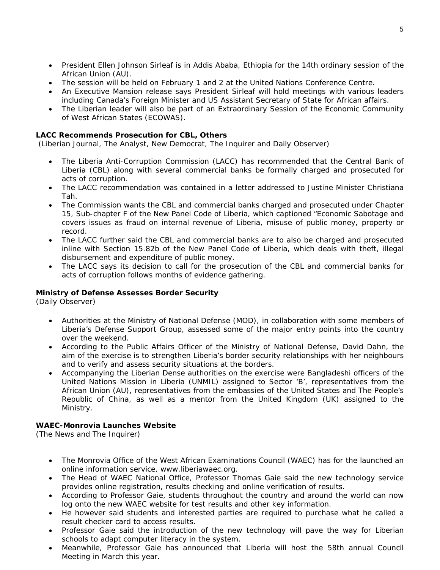- President Ellen Johnson Sirleaf is in Addis Ababa, Ethiopia for the 14th ordinary session of the African Union (AU).
- The session will be held on February 1 and 2 at the United Nations Conference Centre.
- An Executive Mansion release says President Sirleaf will hold meetings with various leaders including Canada's Foreign Minister and US Assistant Secretary of State for African affairs.
- The Liberian leader will also be part of an Extraordinary Session of the Economic Community of West African States (ECOWAS).

#### **LACC Recommends Prosecution for CBL, Others**

(Liberian Journal, The Analyst, New Democrat, The Inquirer and Daily Observer)

- The Liberia Anti-Corruption Commission (LACC) has recommended that the Central Bank of Liberia (CBL) along with several commercial banks be formally charged and prosecuted for acts of corruption.
- The LACC recommendation was contained in a letter addressed to Justine Minister Christiana Tah.
- The Commission wants the CBL and commercial banks charged and prosecuted under Chapter 15, Sub-chapter F of the New Panel Code of Liberia, which captioned "Economic Sabotage and covers issues as fraud on internal revenue of Liberia, misuse of public money, property or record.
- The LACC further said the CBL and commercial banks are to also be charged and prosecuted inline with Section 15.82b of the New Panel Code of Liberia, which deals with theft, illegal disbursement and expenditure of public money.
- The LACC says its decision to call for the prosecution of the CBL and commercial banks for acts of corruption follows months of evidence gathering.

#### **Ministry of Defense Assesses Border Security**

(Daily Observer)

- Authorities at the Ministry of National Defense (MOD), in collaboration with some members of Liberia's Defense Support Group, assessed some of the major entry points into the country over the weekend.
- According to the Public Affairs Officer of the Ministry of National Defense, David Dahn, the aim of the exercise is to strengthen Liberia's border security relationships with her neighbours and to verify and assess security situations at the borders.
- Accompanying the Liberian Dense authorities on the exercise were Bangladeshi officers of the United Nations Mission in Liberia (UNMIL) assigned to Sector 'B', representatives from the African Union (AU), representatives from the embassies of the United States and The People's Republic of China, as well as a mentor from the United Kingdom (UK) assigned to the Ministry.

#### **WAEC-Monrovia Launches Website**

(The News and The Inquirer)

- The Monrovia Office of the West African Examinations Council (WAEC) has for the launched an online information service, www.liberiawaec.org.
- The Head of WAEC National Office, Professor Thomas Gaie said the new technology service provides online registration, results checking and online verification of results.
- According to Professor Gaie, students throughout the country and around the world can now log onto the new WAEC website for test results and other key information.
- He however said students and interested parties are required to purchase what he called a result checker card to access results.
- Professor Gaie said the introduction of the new technology will pave the way for Liberian schools to adapt computer literacy in the system.
- Meanwhile, Professor Gaie has announced that Liberia will host the 58th annual Council Meeting in March this year.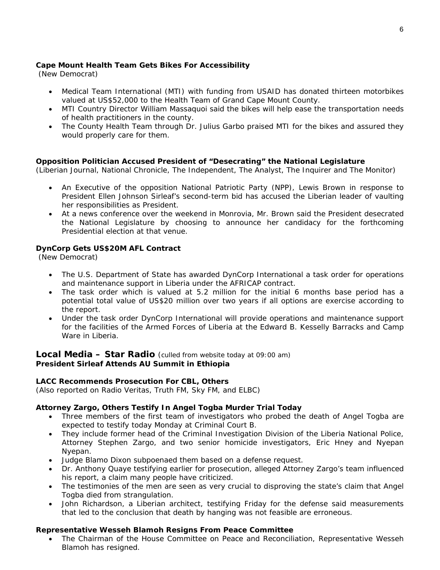#### **Cape Mount Health Team Gets Bikes For Accessibility**

(New Democrat)

- Medical Team International (MTI) with funding from USAID has donated thirteen motorbikes valued at US\$52,000 to the Health Team of Grand Cape Mount County.
- MTI Country Director William Massaquoi said the bikes will help ease the transportation needs of health practitioners in the county.
- The County Health Team through Dr. Julius Garbo praised MTI for the bikes and assured they would properly care for them.

#### **Opposition Politician Accused President of "Desecrating" the National Legislature**

(Liberian Journal, National Chronicle, The Independent, The Analyst, The Inquirer and The Monitor)

- An Executive of the opposition National Patriotic Party (NPP), Lewis Brown in response to President Ellen Johnson Sirleaf's second-term bid has accused the Liberian leader of vaulting her responsibilities as President.
- At a news conference over the weekend in Monrovia, Mr. Brown said the President desecrated the National Legislature by choosing to announce her candidacy for the forthcoming Presidential election at that venue.

#### **DynCorp Gets US\$20M AFL Contract**

(New Democrat)

- The U.S. Department of State has awarded DynCorp International a task order for operations and maintenance support in Liberia under the AFRICAP contract.
- The task order which is valued at 5.2 million for the initial 6 months base period has a potential total value of US\$20 million over two years if all options are exercise according to the report.
- Under the task order DynCorp International will provide operations and maintenance support for the facilities of the Armed Forces of Liberia at the Edward B. Kesselly Barracks and Camp Ware in Liberia.

#### **Local Media – Star Radio** *(culled from website today at 09:00 am)*  **President Sirleaf Attends AU Summit in Ethiopia**

#### **LACC Recommends Prosecution For CBL, Others**

*(Also reported on Radio Veritas, Truth FM, Sky FM, and ELBC)* 

#### **Attorney Zargo, Others Testify In Angel Togba Murder Trial Today**

- Three members of the first team of investigators who probed the death of Angel Togba are expected to testify today Monday at Criminal Court B.
- They include former head of the Criminal Investigation Division of the Liberia National Police, Attorney Stephen Zargo, and two senior homicide investigators, Eric Hney and Nyepan Nyepan.
- Judge Blamo Dixon subpoenaed them based on a defense request.
- Dr. Anthony Quaye testifying earlier for prosecution, alleged Attorney Zargo's team influenced his report, a claim many people have criticized.
- The testimonies of the men are seen as very crucial to disproving the state's claim that Angel Togba died from strangulation.
- John Richardson, a Liberian architect, testifying Friday for the defense said measurements that led to the conclusion that death by hanging was not feasible are erroneous.

#### **Representative Wesseh Blamoh Resigns From Peace Committee**

• The Chairman of the House Committee on Peace and Reconciliation, Representative Wesseh Blamoh has resigned.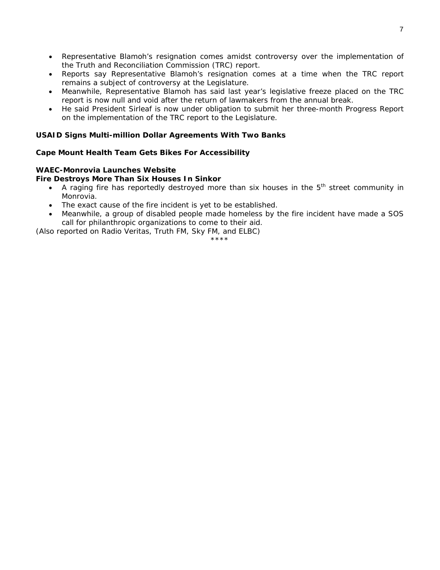- Representative Blamoh's resignation comes amidst controversy over the implementation of the Truth and Reconciliation Commission (TRC) report.
- Reports say Representative Blamoh's resignation comes at a time when the TRC report remains a subject of controversy at the Legislature.
- Meanwhile, Representative Blamoh has said last year's legislative freeze placed on the TRC report is now null and void after the return of lawmakers from the annual break.
- He said President Sirleaf is now under obligation to submit her three-month Progress Report on the implementation of the TRC report to the Legislature.

#### **USAID Signs Multi-million Dollar Agreements With Two Banks**

#### **Cape Mount Health Team Gets Bikes For Accessibility**

#### **WAEC-Monrovia Launches Website**

#### **Fire Destroys More Than Six Houses In Sinkor**

- A raging fire has reportedly destroyed more than six houses in the  $5<sup>th</sup>$  street community in Monrovia.
- The exact cause of the fire incident is yet to be established.
- Meanwhile, a group of disabled people made homeless by the fire incident have made a SOS call for philanthropic organizations to come to their aid.

*(Also reported on Radio Veritas, Truth FM, Sky FM, and ELBC)* 

\*\*\*\*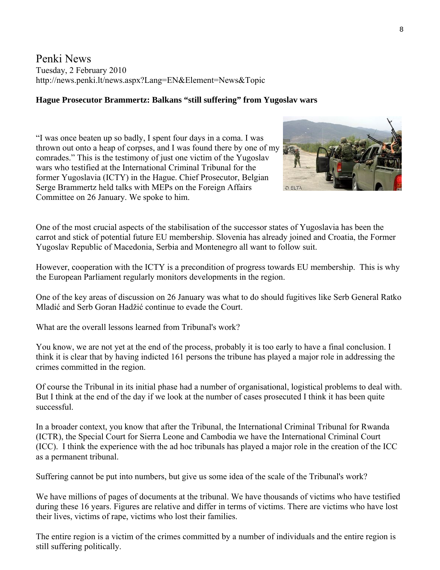Penki News Tuesday, 2 February 2010 http://news.penki.lt/news.aspx?Lang=EN&Element=News&Topic

#### **Hague Prosecutor Brammertz: Balkans "still suffering" from Yugoslav wars**

"I was once beaten up so badly, I spent four days in a coma. I was thrown out onto a heap of corpses, and I was found there by one of my comrades." This is the testimony of just one victim of the Yugoslav wars who testified at the International Criminal Tribunal for the former Yugoslavia (ICTY) in the Hague. Chief Prosecutor, Belgian Serge Brammertz held talks with MEPs on the Foreign Affairs Committee on 26 January. We spoke to him.



One of the most crucial aspects of the stabilisation of the successor states of Yugoslavia has been the carrot and stick of potential future EU membership. Slovenia has already joined and Croatia, the Former Yugoslav Republic of Macedonia, Serbia and Montenegro all want to follow suit.

However, cooperation with the ICTY is a precondition of progress towards EU membership. This is why the European Parliament regularly monitors developments in the region.

One of the key areas of discussion on 26 January was what to do should fugitives like Serb General Ratko Mladić and Serb Goran Hadžić continue to evade the Court.

What are the overall lessons learned from Tribunal's work?

You know, we are not yet at the end of the process, probably it is too early to have a final conclusion. I think it is clear that by having indicted 161 persons the tribune has played a major role in addressing the crimes committed in the region.

Of course the Tribunal in its initial phase had a number of organisational, logistical problems to deal with. But I think at the end of the day if we look at the number of cases prosecuted I think it has been quite successful.

In a broader context, you know that after the Tribunal, the International Criminal Tribunal for Rwanda (ICTR), the Special Court for Sierra Leone and Cambodia we have the International Criminal Court (ICC). I think the experience with the ad hoc tribunals has played a major role in the creation of the ICC as a permanent tribunal.

Suffering cannot be put into numbers, but give us some idea of the scale of the Tribunal's work?

We have millions of pages of documents at the tribunal. We have thousands of victims who have testified during these 16 years. Figures are relative and differ in terms of victims. There are victims who have lost their lives, victims of rape, victims who lost their families.

The entire region is a victim of the crimes committed by a number of individuals and the entire region is still suffering politically.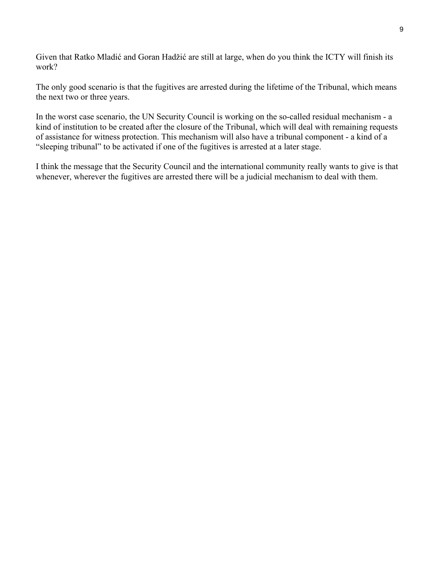Given that Ratko Mladić and Goran Hadžić are still at large, when do you think the ICTY will finish its work?

The only good scenario is that the fugitives are arrested during the lifetime of the Tribunal, which means the next two or three years.

In the worst case scenario, the UN Security Council is working on the so-called residual mechanism - a kind of institution to be created after the closure of the Tribunal, which will deal with remaining requests of assistance for witness protection. This mechanism will also have a tribunal component - a kind of a "sleeping tribunal" to be activated if one of the fugitives is arrested at a later stage.

I think the message that the Security Council and the international community really wants to give is that whenever, wherever the fugitives are arrested there will be a judicial mechanism to deal with them.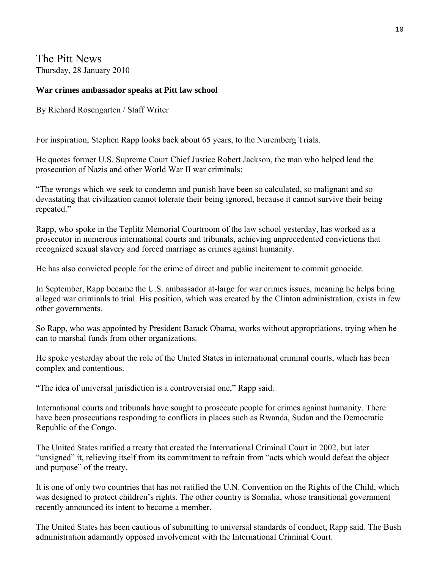The Pitt News Thursday, 28 January 2010

#### **War crimes ambassador speaks at Pitt law school**

By Richard Rosengarten / Staff Writer

For inspiration, Stephen Rapp looks back about 65 years, to the Nuremberg Trials.

He quotes former U.S. Supreme Court Chief Justice Robert Jackson, the man who helped lead the prosecution of Nazis and other World War II war criminals:

"The wrongs which we seek to condemn and punish have been so calculated, so malignant and so devastating that civilization cannot tolerate their being ignored, because it cannot survive their being repeated."

Rapp, who spoke in the Teplitz Memorial Courtroom of the law school yesterday, has worked as a prosecutor in numerous international courts and tribunals, achieving unprecedented convictions that recognized sexual slavery and forced marriage as crimes against humanity.

He has also convicted people for the crime of direct and public incitement to commit genocide.

In September, Rapp became the U.S. ambassador at-large for war crimes issues, meaning he helps bring alleged war criminals to trial. His position, which was created by the Clinton administration, exists in few other governments.

So Rapp, who was appointed by President Barack Obama, works without appropriations, trying when he can to marshal funds from other organizations.

He spoke yesterday about the role of the United States in international criminal courts, which has been complex and contentious.

"The idea of universal jurisdiction is a controversial one," Rapp said.

International courts and tribunals have sought to prosecute people for crimes against humanity. There have been prosecutions responding to conflicts in places such as Rwanda, Sudan and the Democratic Republic of the Congo.

The United States ratified a treaty that created the International Criminal Court in 2002, but later "unsigned" it, relieving itself from its commitment to refrain from "acts which would defeat the object and purpose" of the treaty.

It is one of only two countries that has not ratified the U.N. Convention on the Rights of the Child, which was designed to protect children's rights. The other country is Somalia, whose transitional government recently announced its intent to become a member.

The United States has been cautious of submitting to universal standards of conduct, Rapp said. The Bush administration adamantly opposed involvement with the International Criminal Court.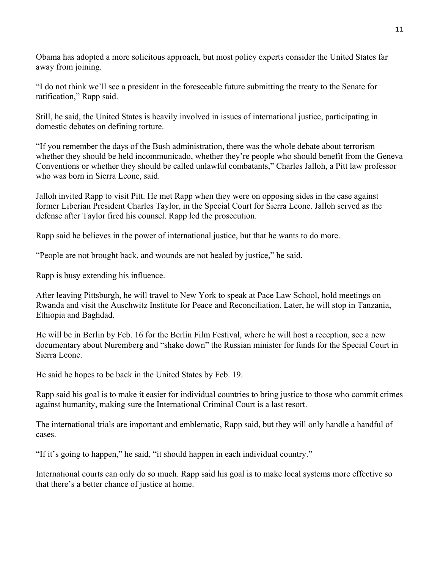Obama has adopted a more solicitous approach, but most policy experts consider the United States far away from joining.

"I do not think we'll see a president in the foreseeable future submitting the treaty to the Senate for ratification," Rapp said.

Still, he said, the United States is heavily involved in issues of international justice, participating in domestic debates on defining torture.

"If you remember the days of the Bush administration, there was the whole debate about terrorism whether they should be held incommunicado, whether they're people who should benefit from the Geneva Conventions or whether they should be called unlawful combatants," Charles Jalloh, a Pitt law professor who was born in Sierra Leone, said.

Jalloh invited Rapp to visit Pitt. He met Rapp when they were on opposing sides in the case against former Liberian President Charles Taylor, in the Special Court for Sierra Leone. Jalloh served as the defense after Taylor fired his counsel. Rapp led the prosecution.

Rapp said he believes in the power of international justice, but that he wants to do more.

"People are not brought back, and wounds are not healed by justice," he said.

Rapp is busy extending his influence.

After leaving Pittsburgh, he will travel to New York to speak at Pace Law School, hold meetings on Rwanda and visit the Auschwitz Institute for Peace and Reconciliation. Later, he will stop in Tanzania, Ethiopia and Baghdad.

He will be in Berlin by Feb. 16 for the Berlin Film Festival, where he will host a reception, see a new documentary about Nuremberg and "shake down" the Russian minister for funds for the Special Court in Sierra Leone.

He said he hopes to be back in the United States by Feb. 19.

Rapp said his goal is to make it easier for individual countries to bring justice to those who commit crimes against humanity, making sure the International Criminal Court is a last resort.

The international trials are important and emblematic, Rapp said, but they will only handle a handful of cases.

"If it's going to happen," he said, "it should happen in each individual country."

International courts can only do so much. Rapp said his goal is to make local systems more effective so that there's a better chance of justice at home.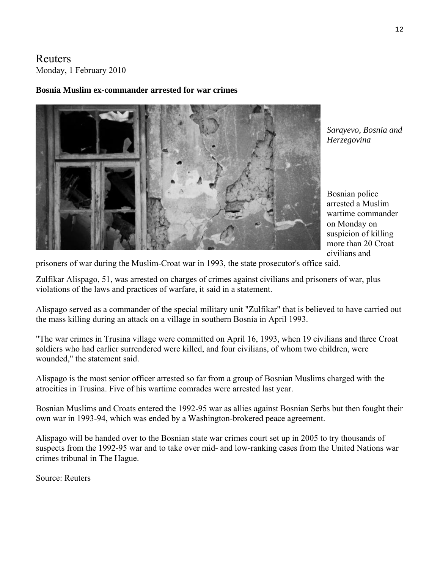Reuters Monday, 1 February 2010

#### **Bosnia Muslim ex-commander arrested for war crimes**



*Sarayevo, Bosnia and Herzegovina* 

Bosnian police arrested a Muslim wartime commander on Monday on suspicion of killing more than 20 Croat civilians and

prisoners of war during the Muslim-Croat war in 1993, the state prosecutor's office said.

Zulfikar Alispago, 51, was arrested on charges of crimes against civilians and prisoners of war, plus violations of the laws and practices of warfare, it said in a statement.

Alispago served as a commander of the special military unit "Zulfikar" that is believed to have carried out the mass killing during an attack on a village in southern Bosnia in April 1993.

"The war crimes in Trusina village were committed on April 16, 1993, when 19 civilians and three Croat soldiers who had earlier surrendered were killed, and four civilians, of whom two children, were wounded," the statement said.

Alispago is the most senior officer arrested so far from a group of Bosnian Muslims charged with the atrocities in Trusina. Five of his wartime comrades were arrested last year.

Bosnian Muslims and Croats entered the 1992-95 war as allies against Bosnian Serbs but then fought their own war in 1993-94, which was ended by a Washington-brokered peace agreement.

Alispago will be handed over to the Bosnian state war crimes court set up in 2005 to try thousands of suspects from the 1992-95 war and to take over mid- and low-ranking cases from the United Nations war crimes tribunal in The Hague.

Source: Reuters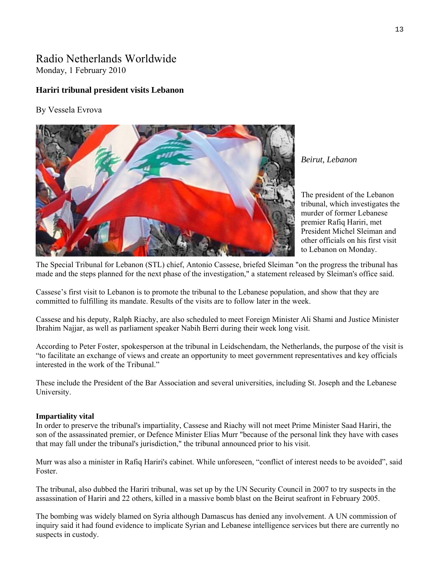## Radio Netherlands Worldwide Monday, 1 February 2010

#### **Hariri tribunal president visits Lebanon**

#### By Vessela Evrova



*Beirut, Lebanon* 

The president of the Lebanon tribunal, which investigates the murder of former Lebanese premier Rafiq Hariri, met President Michel Sleiman and other officials on his first visit to Lebanon on Monday.

The Special Tribunal for Lebanon (STL) chief, Antonio Cassese, briefed Sleiman "on the progress the tribunal has made and the steps planned for the next phase of the investigation," a statement released by Sleiman's office said.

Cassese's first visit to Lebanon is to promote the tribunal to the Lebanese population, and show that they are committed to fulfilling its mandate. Results of the visits are to follow later in the week.

Cassese and his deputy, Ralph Riachy, are also scheduled to meet Foreign Minister Ali Shami and Justice Minister Ibrahim Najjar, as well as parliament speaker Nabih Berri during their week long visit.

According to Peter Foster, spokesperson at the tribunal in Leidschendam, the Netherlands, the purpose of the visit is "to facilitate an exchange of views and create an opportunity to meet government representatives and key officials interested in the work of the Tribunal."

These include the President of the Bar Association and several universities, including St. Joseph and the Lebanese University.

#### **Impartiality vital**

In order to preserve the tribunal's impartiality, Cassese and Riachy will not meet Prime Minister Saad Hariri, the son of the assassinated premier, or Defence Minister Elias Murr "because of the personal link they have with cases that may fall under the tribunal's jurisdiction," the tribunal announced prior to his visit.

Murr was also a minister in Rafiq Hariri's cabinet. While unforeseen, "conflict of interest needs to be avoided", said Foster.

The tribunal, also dubbed the Hariri tribunal, was set up by the UN Security Council in 2007 to try suspects in the assassination of Hariri and 22 others, killed in a massive bomb blast on the Beirut seafront in February 2005.

The bombing was widely blamed on Syria although Damascus has denied any involvement. A UN commission of inquiry said it had found evidence to implicate Syrian and Lebanese intelligence services but there are currently no suspects in custody.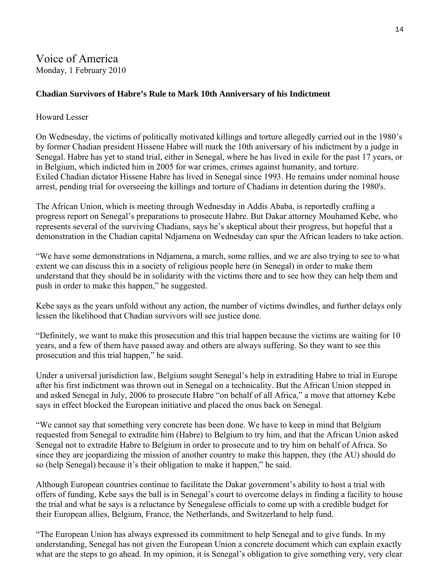# Voice of America Monday, 1 February 2010

### **Chadian Survivors of Habre's Rule to Mark 10th Anniversary of his Indictment**

#### Howard Lesser

On Wednesday, the victims of politically motivated killings and torture allegedly carried out in the 1980's by former Chadian president Hissene Habre will mark the 10th aniversary of his indictment by a judge in Senegal. Habre has yet to stand trial, either in Senegal, where he has lived in exile for the past 17 years, or in Belgium, which indicted him in 2005 for war crimes, crimes against humanity, and torture. Exiled Chadian dictator Hissene Habre has lived in Senegal since 1993. He remains under nominal house arrest, pending trial for overseeing the killings and torture of Chadians in detention during the 1980's.

The African Union, which is meeting through Wednesday in Addis Ababa, is reportedly crafting a progress report on Senegal's preparations to prosecute Habre. But Dakar attorney Mouhamed Kebe, who represents several of the surviving Chadians, says he's skeptical about their progress, but hopeful that a demonstration in the Chadian capital Ndjamena on Wednesday can spur the African leaders to take action.

"We have some demonstrations in Ndjamena, a march, some rallies, and we are also trying to see to what extent we can discuss this in a society of religious people here (in Senegal) in order to make them understand that they should be in solidarity with the victims there and to see how they can help them and push in order to make this happen," he suggested.

Kebe says as the years unfold without any action, the number of victims dwindles, and further delays only lessen the likelihood that Chadian survivors will see justice done.

"Definitely, we want to make this prosecution and this trial happen because the victims are waiting for 10 years, and a few of them have passed away and others are always suffering. So they want to see this prosecution and this trial happen," he said.

Under a universal jurisdiction law, Belgium sought Senegal's help in extraditing Habre to trial in Europe after his first indictment was thrown out in Senegal on a technicality. But the African Union stepped in and asked Senegal in July, 2006 to prosecute Habre "on behalf of all Africa," a move that attorney Kebe says in effect blocked the European initiative and placed the onus back on Senegal.

"We cannot say that something very concrete has been done. We have to keep in mind that Belgium requested from Senegal to extradite him (Habre) to Belgium to try him, and that the African Union asked Senegal not to extradite Habre to Belgium in order to prosecute and to try him on behalf of Africa. So since they are jeopardizing the mission of another country to make this happen, they (the AU) should do so (help Senegal) because it's their obligation to make it happen," he said.

Although European countries continue to facilitate the Dakar government's ability to host a trial with offers of funding, Kebe says the ball is in Senegal's court to overcome delays in finding a facility to house the trial and what he says is a reluctance by Senegalese officials to come up with a credible budget for their European allies, Belgium, France, the Netherlands, and Switzerland to help fund.

"The European Union has always expressed its commitment to help Senegal and to give funds. In my understanding, Senegal has not given the European Union a concrete document which can explain exactly what are the steps to go ahead. In my opinion, it is Senegal's obligation to give something very, very clear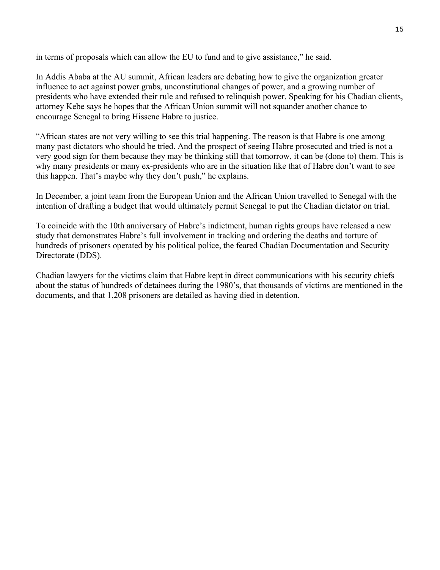in terms of proposals which can allow the EU to fund and to give assistance," he said.

In Addis Ababa at the AU summit, African leaders are debating how to give the organization greater influence to act against power grabs, unconstitutional changes of power, and a growing number of presidents who have extended their rule and refused to relinquish power. Speaking for his Chadian clients, attorney Kebe says he hopes that the African Union summit will not squander another chance to encourage Senegal to bring Hissene Habre to justice.

"African states are not very willing to see this trial happening. The reason is that Habre is one among many past dictators who should be tried. And the prospect of seeing Habre prosecuted and tried is not a very good sign for them because they may be thinking still that tomorrow, it can be (done to) them. This is why many presidents or many ex-presidents who are in the situation like that of Habre don't want to see this happen. That's maybe why they don't push," he explains.

In December, a joint team from the European Union and the African Union travelled to Senegal with the intention of drafting a budget that would ultimately permit Senegal to put the Chadian dictator on trial.

To coincide with the 10th anniversary of Habre's indictment, human rights groups have released a new study that demonstrates Habre's full involvement in tracking and ordering the deaths and torture of hundreds of prisoners operated by his political police, the feared Chadian Documentation and Security Directorate (DDS).

Chadian lawyers for the victims claim that Habre kept in direct communications with his security chiefs about the status of hundreds of detainees during the 1980's, that thousands of victims are mentioned in the documents, and that 1,208 prisoners are detailed as having died in detention.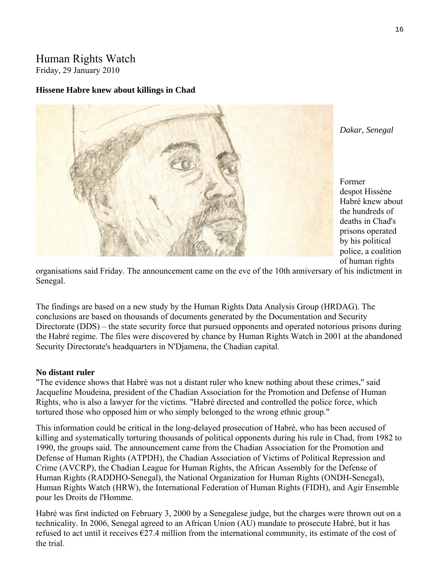# Human Rights Watch

Friday, 29 January 2010

#### **Hissene Habre knew about killings in Chad**



Habré knew about the hundreds of deaths in Chad's police, a coalition Former despot Hissène prisons operated by his political of human rights

organisations said Friday. The announcement came on the eve of the 10th anniversary of his indictment in Senegal.

The findings are based on [a new study](http://www.hrdag.org/about/chad.shtml) by the Human Rights Data Analysis Group (HRDAG). The conclusions are based on thousands of documents generated by the Documentation and Security Directorate (DDS) – the state security force that pursued opponents and operated notorious prisons during the Habré regime. The files were discovered by chance by Human Rights Watch in 2001 at the abandoned Security Directorate's headquarters in N'Djamena, the Chadian capital.

#### **No distant ruler**

"The evidence shows that Habré was not a distant ruler who knew nothing about these crimes," said Jacqueline Moudeina, president of the Chadian Association for the Promotion and Defense of Human Rights, who is also a lawyer for the victims. "Habré directed and controlled the police force, which tortured those who opposed him or who simply belonged to the wrong ethnic group."

This information could be critical in the long-delayed prosecution of Habré, who has been accused of killing and systematically torturing thousands of political opponents during his rule in Chad, from 1982 to 1990, the groups said. The announcement came from the Chadian Association for the Promotion and Defense of Human Rights (ATPDH), the Chadian Association of Victims of Political Repression and Crime (AVCRP), the Chadian League for Human Rights, the African Assembly for the Defense of Human Rights (RADDHO-Senegal), the National Organization for Human Rights (ONDH-Senegal), Human Rights Watch (HRW), the International Federation of Human Rights (FIDH), and Agir Ensemble pour les Droits de l'Homme.

Habré was first indicted on February 3, 2000 by a Senegalese judge, but the charges were thrown out on a technicality. In 2006, Senegal agreed to an African Union (AU) mandate to prosecute Habré, but it has refused to act until it receives  $\epsilon$ 27.4 million from the international community, its estimate of the cost of the trial.